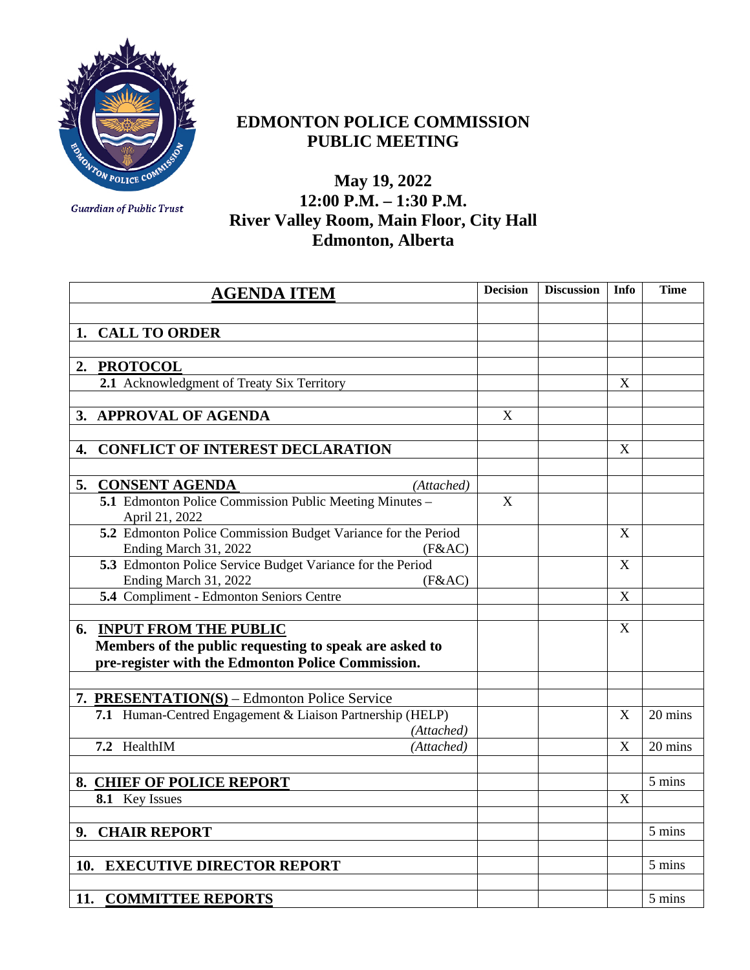

## **EDMONTON POLICE COMMISSION PUBLIC MEETING**

**Guardian of Public Trust** 

## **May 19, 2022 12:00 P.M. – 1:30 P.M. River Valley Room, Main Floor, City Hall Edmonton, Alberta**

| <b>AGENDA ITEM</b>                                                                               | <b>Decision</b> | <b>Discussion</b> | Info | Time    |
|--------------------------------------------------------------------------------------------------|-----------------|-------------------|------|---------|
|                                                                                                  |                 |                   |      |         |
| <b>CALL TO ORDER</b><br>1.                                                                       |                 |                   |      |         |
|                                                                                                  |                 |                   |      |         |
| <b>PROTOCOL</b><br>2.                                                                            |                 |                   |      |         |
| 2.1 Acknowledgment of Treaty Six Territory                                                       |                 |                   | X    |         |
|                                                                                                  |                 |                   |      |         |
| <b>APPROVAL OF AGENDA</b><br>3.                                                                  | X               |                   |      |         |
|                                                                                                  |                 |                   |      |         |
| <b>CONFLICT OF INTEREST DECLARATION</b><br>4.                                                    |                 |                   | X    |         |
|                                                                                                  |                 |                   |      |         |
| <b>CONSENT AGENDA</b><br>5.<br>(Attached)                                                        |                 |                   |      |         |
| 5.1 Edmonton Police Commission Public Meeting Minutes -<br>April 21, 2022                        | $\mathbf X$     |                   |      |         |
| 5.2 Edmonton Police Commission Budget Variance for the Period<br>Ending March 31, 2022<br>(F&AC) |                 |                   | X    |         |
| 5.3 Edmonton Police Service Budget Variance for the Period<br>Ending March 31, 2022<br>(F&AC)    |                 |                   | X    |         |
| 5.4 Compliment - Edmonton Seniors Centre                                                         |                 |                   | X    |         |
|                                                                                                  |                 |                   |      |         |
| <b>INPUT FROM THE PUBLIC</b><br>6.                                                               |                 |                   | X    |         |
| Members of the public requesting to speak are asked to                                           |                 |                   |      |         |
| pre-register with the Edmonton Police Commission.                                                |                 |                   |      |         |
|                                                                                                  |                 |                   |      |         |
| 7. PRESENTATION(S) – Edmonton Police Service                                                     |                 |                   |      |         |
| 7.1 Human-Centred Engagement & Liaison Partnership (HELP)<br>(Attached)                          |                 |                   | X    | 20 mins |
| 7.2 HealthIM<br>(Attached)                                                                       |                 |                   | X    | 20 mins |
|                                                                                                  |                 |                   |      |         |
| 8. CHIEF OF POLICE REPORT                                                                        |                 |                   |      | 5 mins  |
| 8.1 Key Issues                                                                                   |                 |                   | X    |         |
|                                                                                                  |                 |                   |      |         |
| 9. CHAIR REPORT                                                                                  |                 |                   |      | 5 mins  |
|                                                                                                  |                 |                   |      |         |
| <b>EXECUTIVE DIRECTOR REPORT</b><br>10.                                                          |                 |                   |      | 5 mins  |
|                                                                                                  |                 |                   |      |         |
| 11. COMMITTEE REPORTS                                                                            |                 |                   |      | 5 mins  |